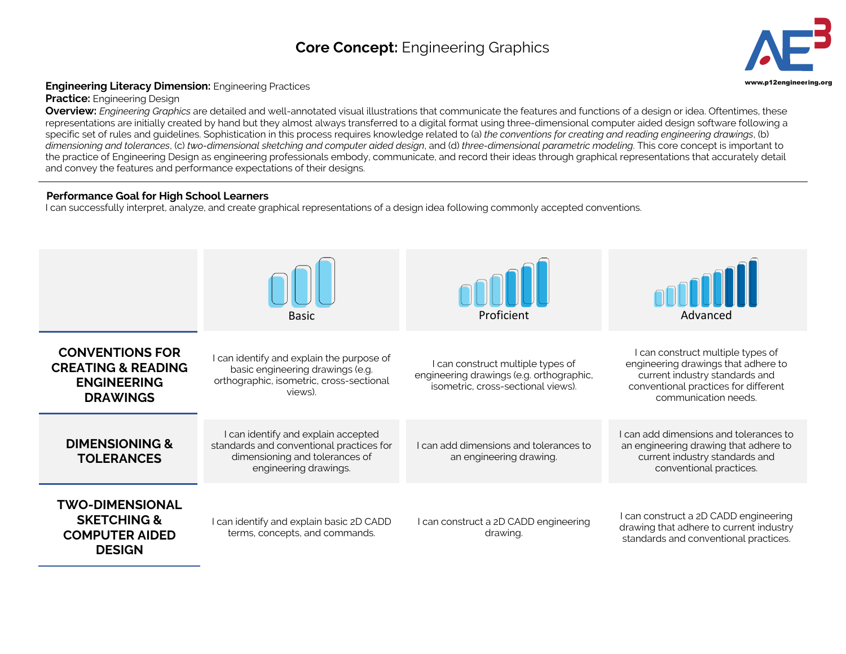## **Core Concept:** Engineering Graphics **3**



## **Engineering Literacy Dimension:** Engineering Practices **Engineering.org and Secure 2016** and the state of the state of the state of the state of the state of the state of the state of the state of the state of the state o

**Practice:** Engineering Design

**Overview:** *Engineering Graphics* are detailed and well-annotated visual illustrations that communicate the features and functions of a design or idea. Oftentimes, these representations are initially created by hand but they almost always transferred to a digital format using three-dimensional computer aided design software following a specific set of rules and guidelines. Sophistication in this process requires knowledge related to (a) *the conventions for creating and reading engineering drawings*, (b) *dimensioning and tolerances*, (c) *two-dimensional sketching and computer aided design*, and (d) *three-dimensional parametric modeling*. This core concept is important to the practice of Engineering Design as engineering professionals embody, communicate, and record their ideas through graphical representations that accurately detail and convey the features and performance expectations of their designs.

## **Performance Goal for High School Learners**

I can successfully interpret, analyze, and create graphical representations of a design idea following commonly accepted conventions.

|                                                                                                  | <b>Basic</b>                                                                                                                               | Proficient                                                                                                          | Advanced                                                                                                                                                                   |
|--------------------------------------------------------------------------------------------------|--------------------------------------------------------------------------------------------------------------------------------------------|---------------------------------------------------------------------------------------------------------------------|----------------------------------------------------------------------------------------------------------------------------------------------------------------------------|
| <b>CONVENTIONS FOR</b><br><b>CREATING &amp; READING</b><br><b>ENGINEERING</b><br><b>DRAWINGS</b> | I can identify and explain the purpose of<br>basic engineering drawings (e.g.<br>orthographic, isometric, cross-sectional<br>views).       | I can construct multiple types of<br>engineering drawings (e.g. orthographic,<br>isometric, cross-sectional views). | I can construct multiple types of<br>engineering drawings that adhere to<br>current industry standards and<br>conventional practices for different<br>communication needs. |
| <b>DIMENSIONING &amp;</b><br><b>TOLERANCES</b>                                                   | I can identify and explain accepted<br>standards and conventional practices for<br>dimensioning and tolerances of<br>engineering drawings. | I can add dimensions and tolerances to<br>an engineering drawing.                                                   | Lcan add dimensions and tolerances to<br>an engineering drawing that adhere to<br>current industry standards and<br>conventional practices.                                |
| <b>TWO-DIMENSIONAL</b><br><b>SKETCHING &amp;</b><br><b>COMPUTER AIDED</b><br><b>DESIGN</b>       | I can identify and explain basic 2D CADD<br>terms, concepts, and commands.                                                                 | I can construct a 2D CADD engineering<br>drawing.                                                                   | I can construct a 2D CADD engineering<br>drawing that adhere to current industry<br>standards and conventional practices.                                                  |